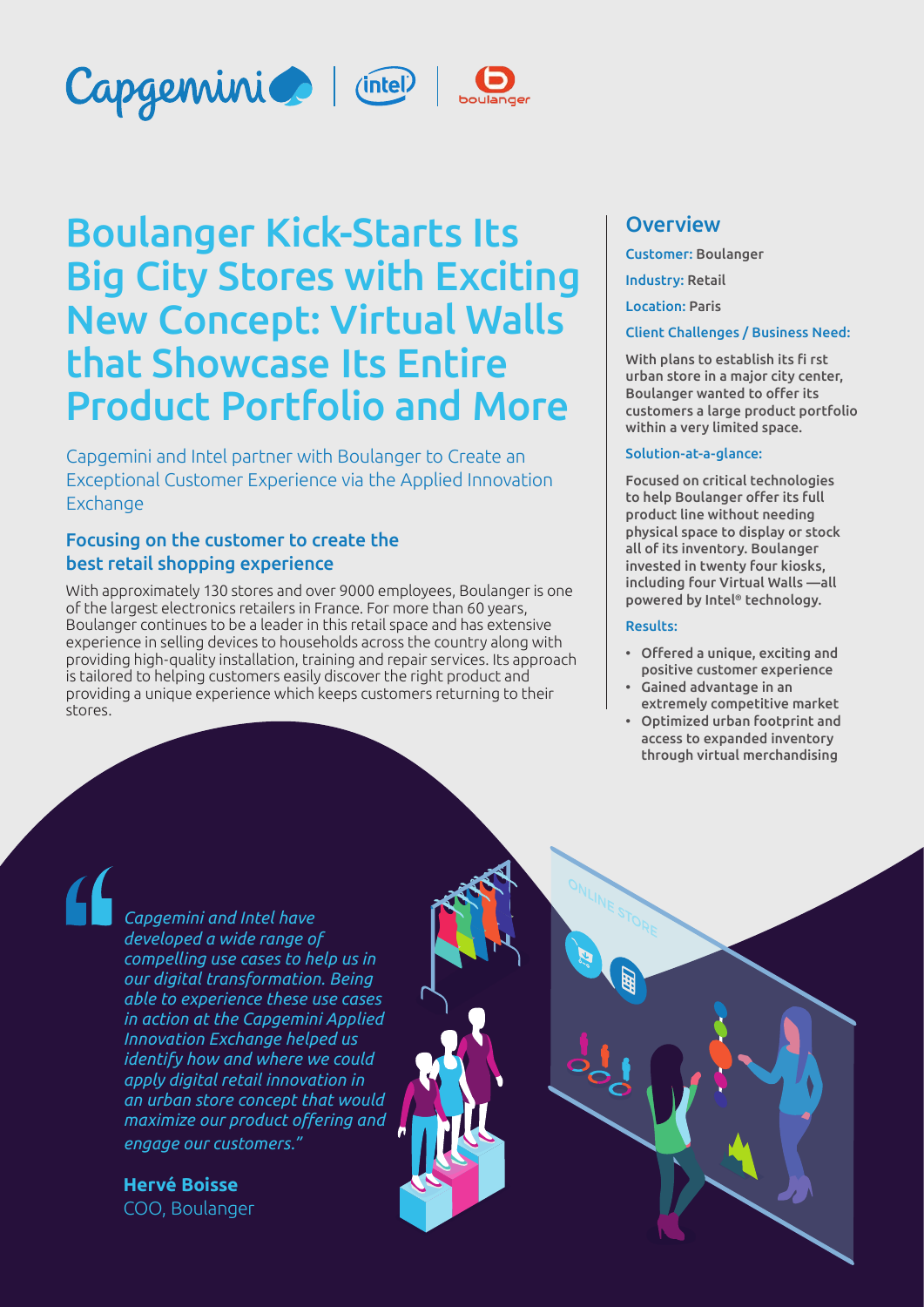





# Boulanger Kick-Starts Its Big City Stores with Exciting New Concept: Virtual Walls that Showcase Its Entire Product Portfolio and More

Capgemini and Intel partner with Boulanger to Create an Exceptional Customer Experience via the Applied Innovation Exchange

# Focusing on the customer to create the best retail shopping experience

With approximately 130 stores and over 9000 employees, Boulanger is one of the largest electronics retailers in France. For more than 60 years, Boulanger continues to be a leader in this retail space and has extensive experience in selling devices to households across the country along with providing high-quality installation, training and repair services. Its approach is tailored to helping customers easily discover the right product and providing a unique experience which keeps customers returning to their stores.

# **Overview**

Customer: Boulanger

Industry: Retail

Location: Paris

#### Client Challenges / Business Need:

With plans to establish its fi rst urban store in a major city center, Boulanger wanted to offer its customers a large product portfolio within a very limited space.

#### Solution-at-a-glance:

Focused on critical technologies to help Boulanger offer its full product line without needing physical space to display or stock all of its inventory. Boulanger invested in twenty four kiosks, including four Virtual Walls —all powered by Intel® technology.

#### Results:

- Offered a unique, exciting and positive customer experience
- Gained advantage in an extremely competitive market
- Optimized urban footprint and access to expanded inventory through virtual merchandising

*Capgemini and Intel have developed a wide range of compelling use cases to help us in our digital transformation. Being able to experience these use cases in action at the Capgemini Applied Innovation Exchange helped us identify how and where we could apply digital retail innovation in an urban store concept that would maximize our product offering and engage our customers."*

**Hervé Boisse** COO, Boulanger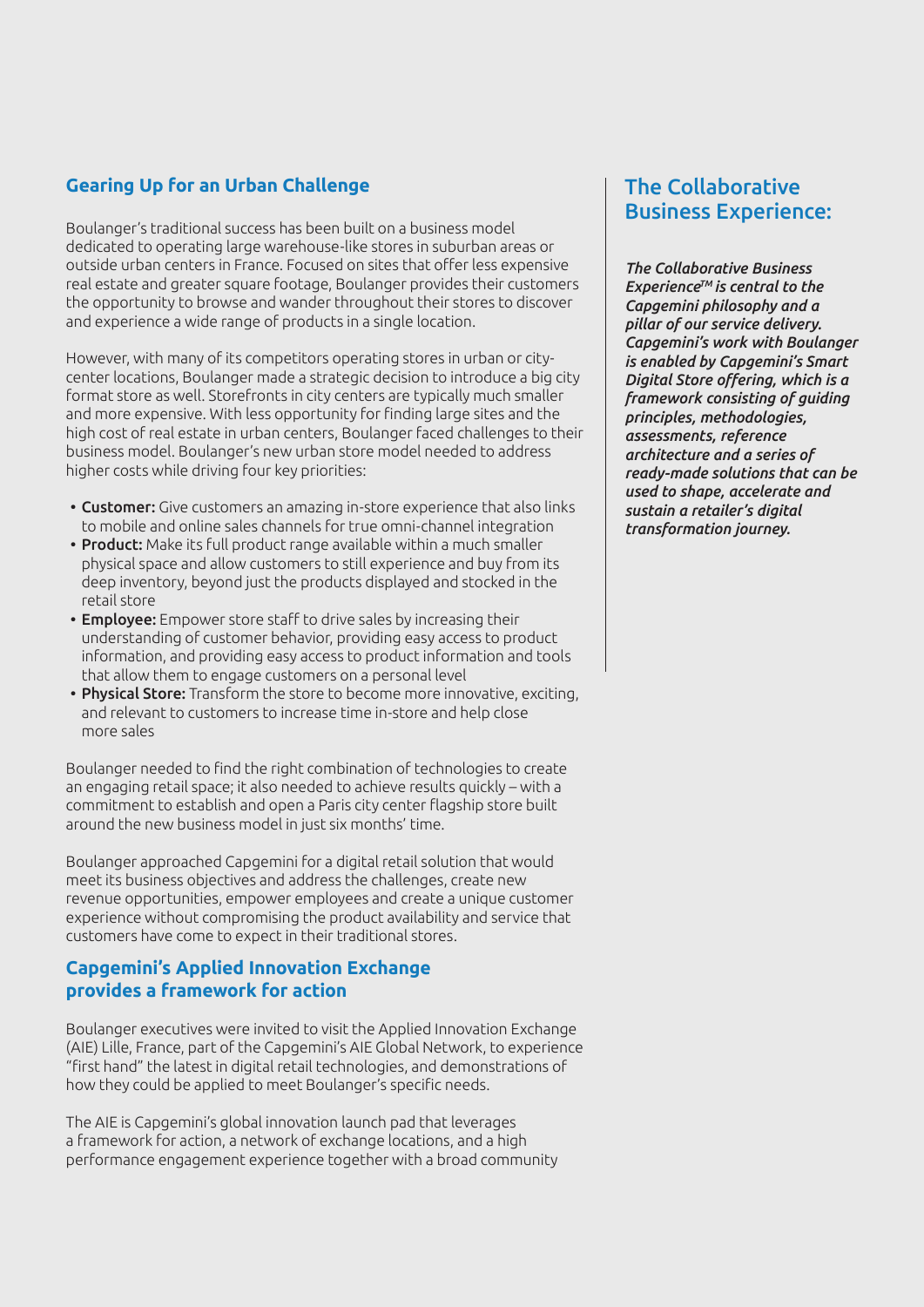# **Gearing Up for an Urban Challenge**

Boulanger's traditional success has been built on a business model dedicated to operating large warehouse-like stores in suburban areas or outside urban centers in France. Focused on sites that offer less expensive real estate and greater square footage, Boulanger provides their customers the opportunity to browse and wander throughout their stores to discover and experience a wide range of products in a single location.

However, with many of its competitors operating stores in urban or citycenter locations, Boulanger made a strategic decision to introduce a big city format store as well. Storefronts in city centers are typically much smaller and more expensive. With less opportunity for finding large sites and the high cost of real estate in urban centers, Boulanger faced challenges to their business model. Boulanger's new urban store model needed to address higher costs while driving four key priorities:

- Customer: Give customers an amazing in-store experience that also links to mobile and online sales channels for true omni-channel integration
- Product: Make its full product range available within a much smaller physical space and allow customers to still experience and buy from its deep inventory, beyond just the products displayed and stocked in the retail store
- Employee: Empower store staff to drive sales by increasing their understanding of customer behavior, providing easy access to product information, and providing easy access to product information and tools that allow them to engage customers on a personal level
- Physical Store: Transform the store to become more innovative, exciting, and relevant to customers to increase time in-store and help close more sales

Boulanger needed to find the right combination of technologies to create an engaging retail space; it also needed to achieve results quickly – with a commitment to establish and open a Paris city center flagship store built around the new business model in just six months' time.

Boulanger approached Capgemini for a digital retail solution that would meet its business objectives and address the challenges, create new revenue opportunities, empower employees and create a unique customer experience without compromising the product availability and service that customers have come to expect in their traditional stores.

# **Capgemini's Applied Innovation Exchange provides a framework for action**

Boulanger executives were invited to visit the Applied Innovation Exchange (AIE) Lille, France, part of the Capgemini's AIE Global Network, to experience "first hand" the latest in digital retail technologies, and demonstrations of how they could be applied to meet Boulanger's specific needs.

The AIE is Capgemini's global innovation launch pad that leverages a framework for action, a network of exchange locations, and a high performance engagement experience together with a broad community

# The Collaborative Business Experience:

*The Collaborative Business ExperienceTM is central to the Capgemini philosophy and a pillar of our service delivery. Capgemini's work with Boulanger is enabled by Capgemini's Smart Digital Store offering, which is a framework consisting of guiding principles, methodologies, assessments, reference architecture and a series of ready-made solutions that can be used to shape, accelerate and sustain a retailer's digital transformation journey.*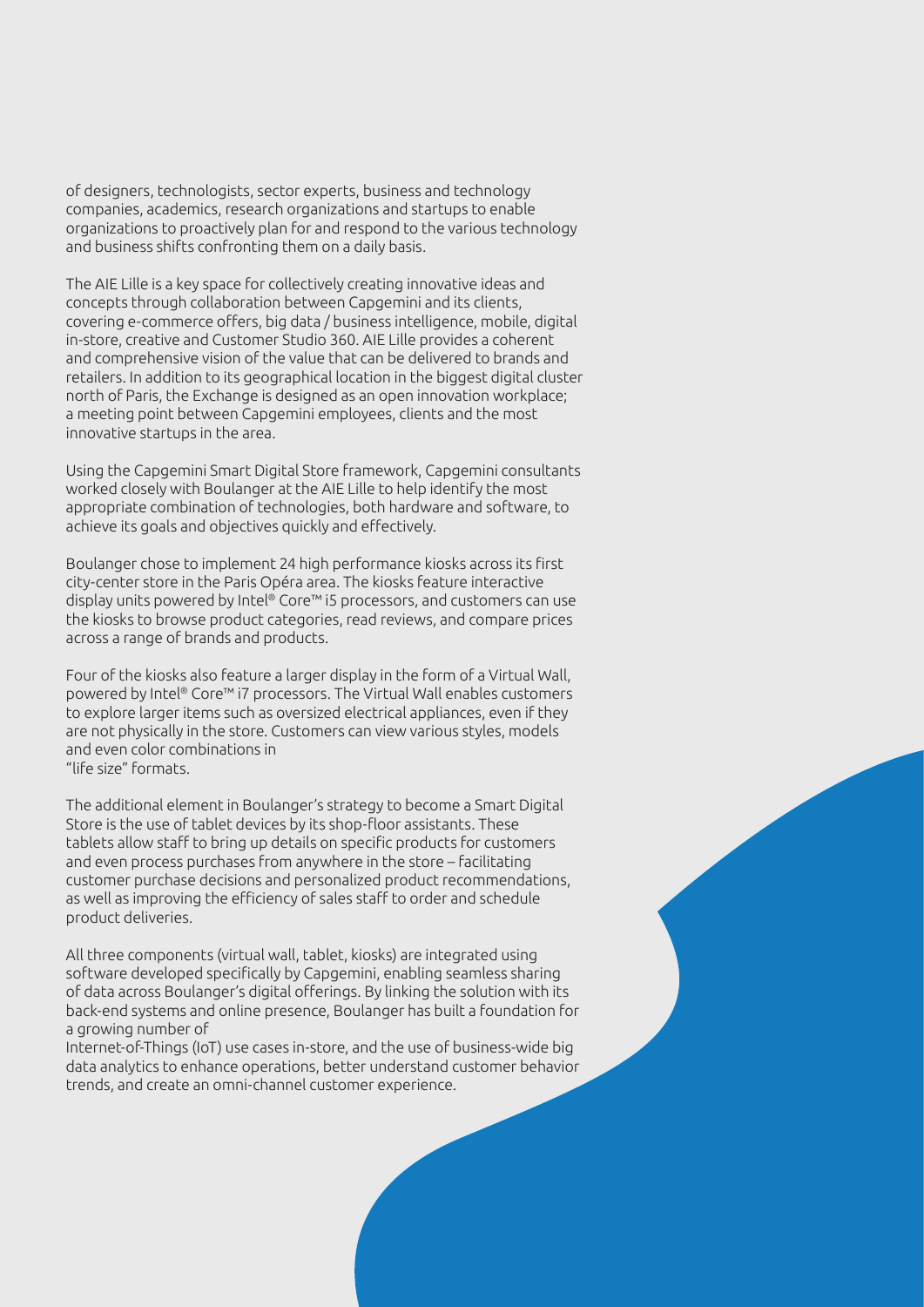of designers, technologists, sector experts, business and technology companies, academics, research organizations and startups to enable organizations to proactively plan for and respond to the various technology and business shifts confronting them on a daily basis.

The AIE Lille is a key space for collectively creating innovative ideas and concepts through collaboration between Capgemini and its clients, covering e-commerce offers, big data / business intelligence, mobile, digital in-store, creative and Customer Studio 360. AIE Lille provides a coherent and comprehensive vision of the value that can be delivered to brands and retailers. In addition to its geographical location in the biggest digital cluster north of Paris, the Exchange is designed as an open innovation workplace; a meeting point between Capgemini employees, clients and the most innovative startups in the area.

Using the Capgemini Smart Digital Store framework, Capgemini consultants worked closely with Boulanger at the AIE Lille to help identify the most appropriate combination of technologies, both hardware and software, to achieve its goals and objectives quickly and effectively.

Boulanger chose to implement 24 high performance kiosks across its first city-center store in the Paris Opéra area. The kiosks feature interactive display units powered by Intel® Core™ i5 processors, and customers can use the kiosks to browse product categories, read reviews, and compare prices across a range of brands and products.

Four of the kiosks also feature a larger display in the form of a Virtual Wall, powered by Intel® Core™ i7 processors. The Virtual Wall enables customers to explore larger items such as oversized electrical appliances, even if they are not physically in the store. Customers can view various styles, models and even color combinations in "life size" formats.

The additional element in Boulanger's strategy to become a Smart Digital Store is the use of tablet devices by its shop-floor assistants. These tablets allow staff to bring up details on specific products for customers and even process purchases from anywhere in the store – facilitating customer purchase decisions and personalized product recommendations, as well as improving the efficiency of sales staff to order and schedule product deliveries.

All three components (virtual wall, tablet, kiosks) are integrated using software developed specifically by Capgemini, enabling seamless sharing of data across Boulanger's digital offerings. By linking the solution with its back-end systems and online presence, Boulanger has built a foundation for a growing number of

Internet-of-Things (IoT) use cases in-store, and the use of business-wide big data analytics to enhance operations, better understand customer behavior trends, and create an omni-channel customer experience.